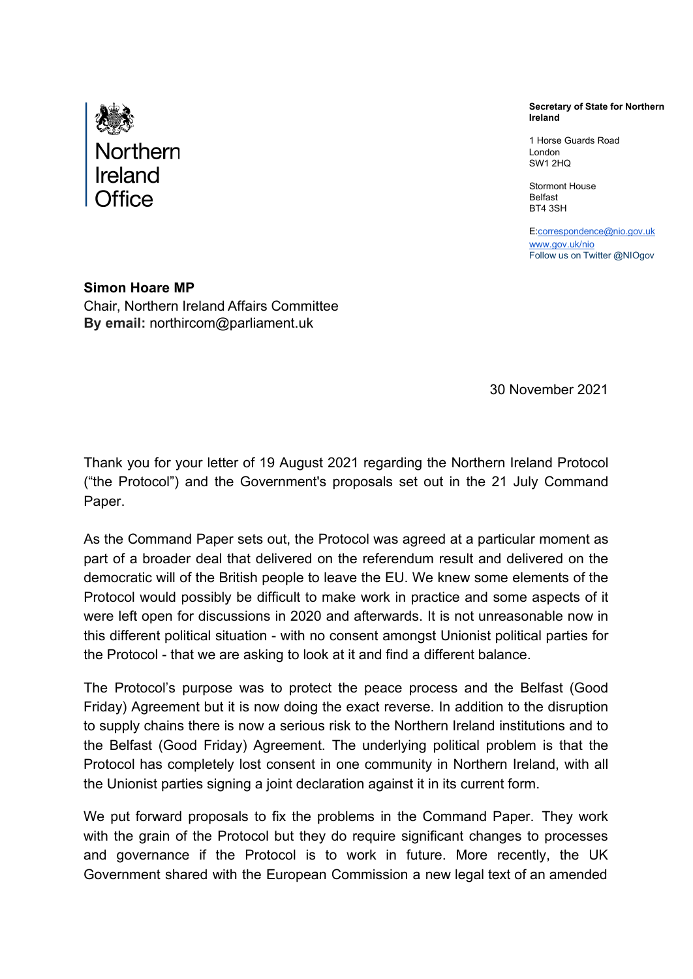

**Secretary of State for Northern Ireland**

1 Horse Guards Road London SW1 2HQ

Stormont House Belfast BT4 3SH

[E:correspondence@nio.gov.uk](mailto:correspondence@nio.gov.uk) [www.gov.uk/nio](http://www.gov.uk/nio) Follow us on Twitter @NIOgov

**Simon Hoare MP** Chair, Northern Ireland Affairs Committee **By email:** [northircom@parliament.uk](mailto:northircom@parliament.uk)

30 November 2021

Thank you for your letter of 19 August 2021 regarding the Northern Ireland Protocol ("the Protocol") and the Government's proposals set out in the 21 July Command Paper.

As the Command Paper sets out, the Protocol was agreed at a particular moment as part of a broader deal that delivered on the referendum result and delivered on the democratic will of the British people to leave the EU. We knew some elements of the Protocol would possibly be difficult to make work in practice and some aspects of it were left open for discussions in 2020 and afterwards. It is not unreasonable now in this different political situation - with no consent amongst Unionist political parties for the Protocol - that we are asking to look at it and find a different balance.

The Protocol's purpose was to protect the peace process and the Belfast (Good Friday) Agreement but it is now doing the exact reverse. In addition to the disruption to supply chains there is now a serious risk to the Northern Ireland institutions and to the Belfast (Good Friday) Agreement. The underlying political problem is that the Protocol has completely lost consent in one community in Northern Ireland, with all the Unionist parties signing a joint declaration against it in its current form.

We put forward proposals to fix the problems in the Command Paper. They work with the grain of the Protocol but they do require significant changes to processes and governance if the Protocol is to work in future. More recently, the UK Government shared with the European Commission a new legal text of an amended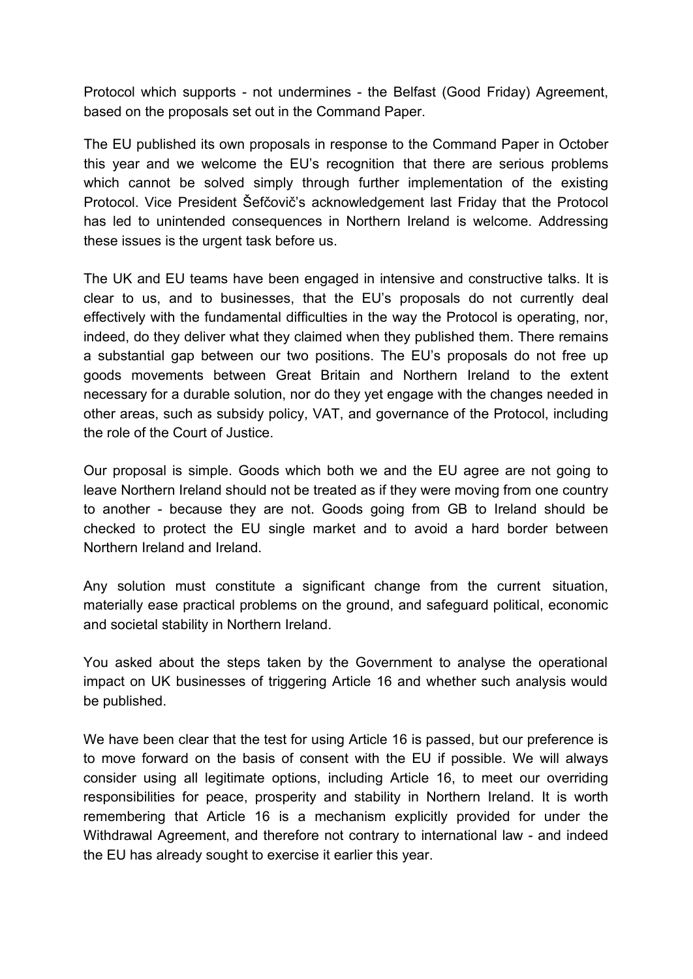Protocol which supports - not undermines - the Belfast (Good Friday) Agreement, based on the proposals set out in the Command Paper.

The EU published its own proposals in response to the Command Paper in October this year and we welcome the EU's recognition that there are serious problems which cannot be solved simply through further implementation of the existing Protocol. Vice President Šefčovič's acknowledgement last Friday that the Protocol has led to unintended consequences in Northern Ireland is welcome. Addressing these issues is the urgent task before us.

The UK and EU teams have been engaged in intensive and constructive talks. It is clear to us, and to businesses, that the EU's proposals do not currently deal effectively with the fundamental difficulties in the way the Protocol is operating, nor, indeed, do they deliver what they claimed when they published them. There remains a substantial gap between our two positions. The EU's proposals do not free up goods movements between Great Britain and Northern Ireland to the extent necessary for a durable solution, nor do they yet engage with the changes needed in other areas, such as subsidy policy, VAT, and governance of the Protocol, including the role of the Court of Justice.

Our proposal is simple. Goods which both we and the EU agree are not going to leave Northern Ireland should not be treated as if they were moving from one country to another - because they are not. Goods going from GB to Ireland should be checked to protect the EU single market and to avoid a hard border between Northern Ireland and Ireland.

Any solution must constitute a significant change from the current situation, materially ease practical problems on the ground, and safeguard political, economic and societal stability in Northern Ireland.

You asked about the steps taken by the Government to analyse the operational impact on UK businesses of triggering Article 16 and whether such analysis would be published.

We have been clear that the test for using Article 16 is passed, but our preference is to move forward on the basis of consent with the EU if possible. We will always consider using all legitimate options, including Article 16, to meet our overriding responsibilities for peace, prosperity and stability in Northern Ireland. It is worth remembering that Article 16 is a mechanism explicitly provided for under the Withdrawal Agreement, and therefore not contrary to international law - and indeed the EU has already sought to exercise it earlier this year.